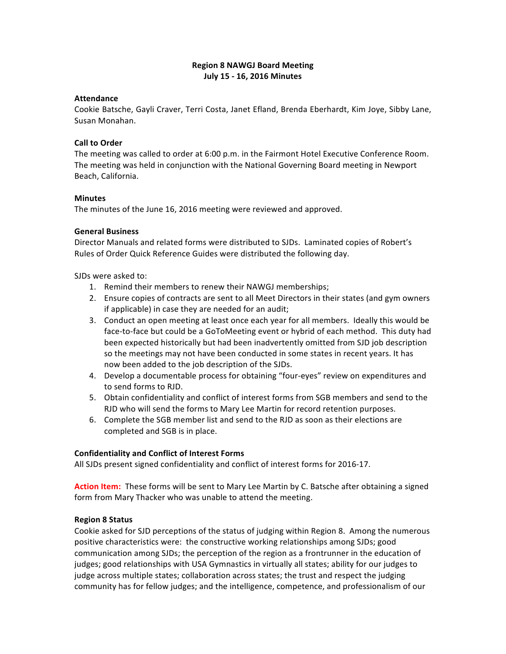# **Region 8 NAWGJ Board Meeting July 15 - 16, 2016 Minutes**

## **Attendance**

Cookie Batsche, Gayli Craver, Terri Costa, Janet Efland, Brenda Eberhardt, Kim Joye, Sibby Lane, Susan Monahan.

## **Call to Order**

The meeting was called to order at 6:00 p.m. in the Fairmont Hotel Executive Conference Room. The meeting was held in conjunction with the National Governing Board meeting in Newport Beach, California.

## **Minutes**

The minutes of the June 16, 2016 meeting were reviewed and approved.

## **General Business**

Director Manuals and related forms were distributed to SJDs. Laminated copies of Robert's Rules of Order Quick Reference Guides were distributed the following day.

## SJDs were asked to:

- 1. Remind their members to renew their NAWGJ memberships;
- 2. Ensure copies of contracts are sent to all Meet Directors in their states (and gym owners if applicable) in case they are needed for an audit;
- 3. Conduct an open meeting at least once each year for all members. Ideally this would be face-to-face but could be a GoToMeeting event or hybrid of each method. This duty had been expected historically but had been inadvertently omitted from SJD job description so the meetings may not have been conducted in some states in recent years. It has now been added to the job description of the SJDs.
- 4. Develop a documentable process for obtaining "four-eyes" review on expenditures and to send forms to RJD.
- 5. Obtain confidentiality and conflict of interest forms from SGB members and send to the RJD who will send the forms to Mary Lee Martin for record retention purposes.
- 6. Complete the SGB member list and send to the RJD as soon as their elections are completed and SGB is in place.

## **Confidentiality and Conflict of Interest Forms**

All SJDs present signed confidentiality and conflict of interest forms for 2016-17.

Action Item: These forms will be sent to Mary Lee Martin by C. Batsche after obtaining a signed form from Mary Thacker who was unable to attend the meeting.

## **Region 8 Status**

Cookie asked for SJD perceptions of the status of judging within Region 8. Among the numerous positive characteristics were: the constructive working relationships among SJDs; good communication among SJDs; the perception of the region as a frontrunner in the education of judges; good relationships with USA Gymnastics in virtually all states; ability for our judges to judge across multiple states; collaboration across states; the trust and respect the judging community has for fellow judges; and the intelligence, competence, and professionalism of our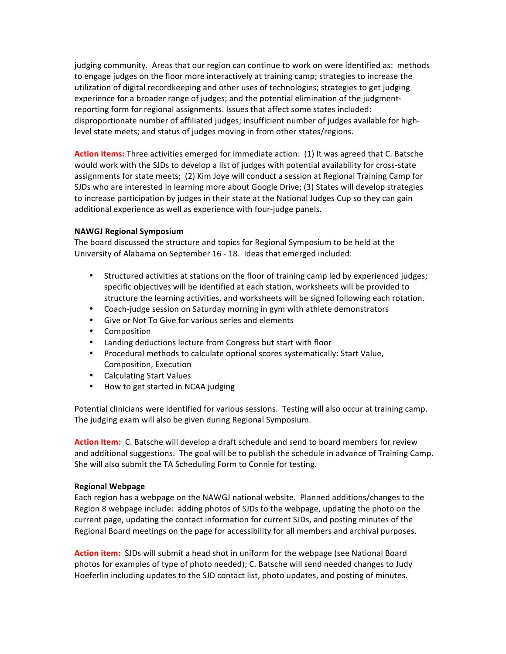judging community. Areas that our region can continue to work on were identified as: methods to engage judges on the floor more interactively at training camp; strategies to increase the utilization of digital recordkeeping and other uses of technologies; strategies to get judging experience for a broader range of judges; and the potential elimination of the judgmentreporting form for regional assignments. Issues that affect some states included: disproportionate number of affiliated judges; insufficient number of judges available for highlevel state meets; and status of judges moving in from other states/regions.

Action Items: Three activities emerged for immediate action: (1) It was agreed that C. Batsche would work with the SJDs to develop a list of judges with potential availability for cross-state assignments for state meets; (2) Kim Joye will conduct a session at Regional Training Camp for SJDs who are interested in learning more about Google Drive; (3) States will develop strategies to increase participation by judges in their state at the National Judges Cup so they can gain additional experience as well as experience with four-judge panels.

## **NAWGJ Regional Symposium**

The board discussed the structure and topics for Regional Symposium to be held at the University of Alabama on September 16 - 18. Ideas that emerged included:

- Structured activities at stations on the floor of training camp led by experienced judges; specific objectives will be identified at each station, worksheets will be provided to structure the learning activities, and worksheets will be signed following each rotation.
- Coach-judge session on Saturday morning in gym with athlete demonstrators
- Give or Not To Give for various series and elements
- Composition
- Landing deductions lecture from Congress but start with floor
- Procedural methods to calculate optional scores systematically: Start Value, Composition, Execution
- Calculating Start Values
- How to get started in NCAA judging

Potential clinicians were identified for various sessions. Testing will also occur at training camp. The judging exam will also be given during Regional Symposium.

**Action Item:** C. Batsche will develop a draft schedule and send to board members for review and additional suggestions. The goal will be to publish the schedule in advance of Training Camp. She will also submit the TA Scheduling Form to Connie for testing.

# **Regional Webpage**

Each region has a webpage on the NAWGJ national website. Planned additions/changes to the Region 8 webpage include: adding photos of SJDs to the webpage, updating the photo on the current page, updating the contact information for current SJDs, and posting minutes of the Regional Board meetings on the page for accessibility for all members and archival purposes.

Action item: SJDs will submit a head shot in uniform for the webpage (see National Board photos for examples of type of photo needed); C. Batsche will send needed changes to Judy Hoeferlin including updates to the SJD contact list, photo updates, and posting of minutes.